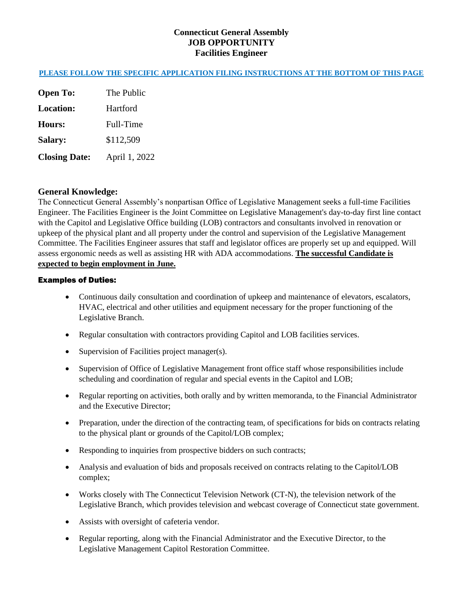## **Connecticut General Assembly JOB OPPORTUNITY Facilities Engineer**

## **PLEASE FOLLOW THE SPECIFIC APPLICATION FILING INSTRUCTIONS AT THE BOTTOM OF THIS PAGE**

**Open To:** The Public **Location:** Hartford **Hours:** Full-Time **Salary:** \$112,509 **Closing Date:** April 1, 2022

### **General Knowledge:**

The Connecticut General Assembly's nonpartisan Office of Legislative Management seeks a full-time Facilities Engineer. The Facilities Engineer is the Joint Committee on Legislative Management's day-to-day first line contact with the Capitol and Legislative Office building (LOB) contractors and consultants involved in renovation or upkeep of the physical plant and all property under the control and supervision of the Legislative Management Committee. The Facilities Engineer assures that staff and legislator offices are properly set up and equipped. Will assess ergonomic needs as well as assisting HR with ADA accommodations. **The successful Candidate is expected to begin employment in June.**

#### Examples of Duties:

- Continuous daily consultation and coordination of upkeep and maintenance of elevators, escalators, HVAC, electrical and other utilities and equipment necessary for the proper functioning of the Legislative Branch.
- Regular consultation with contractors providing Capitol and LOB facilities services.
- Supervision of Facilities project manager(s).
- Supervision of Office of Legislative Management front office staff whose responsibilities include scheduling and coordination of regular and special events in the Capitol and LOB;
- Regular reporting on activities, both orally and by written memoranda, to the Financial Administrator and the Executive Director;
- Preparation, under the direction of the contracting team, of specifications for bids on contracts relating to the physical plant or grounds of the Capitol/LOB complex;
- Responding to inquiries from prospective bidders on such contracts;
- Analysis and evaluation of bids and proposals received on contracts relating to the Capitol/LOB complex;
- Works closely with The Connecticut Television Network (CT-N), the television network of the Legislative Branch, which provides television and webcast coverage of Connecticut state government.
- Assists with oversight of cafeteria vendor.
- Regular reporting, along with the Financial Administrator and the Executive Director, to the Legislative Management Capitol Restoration Committee.